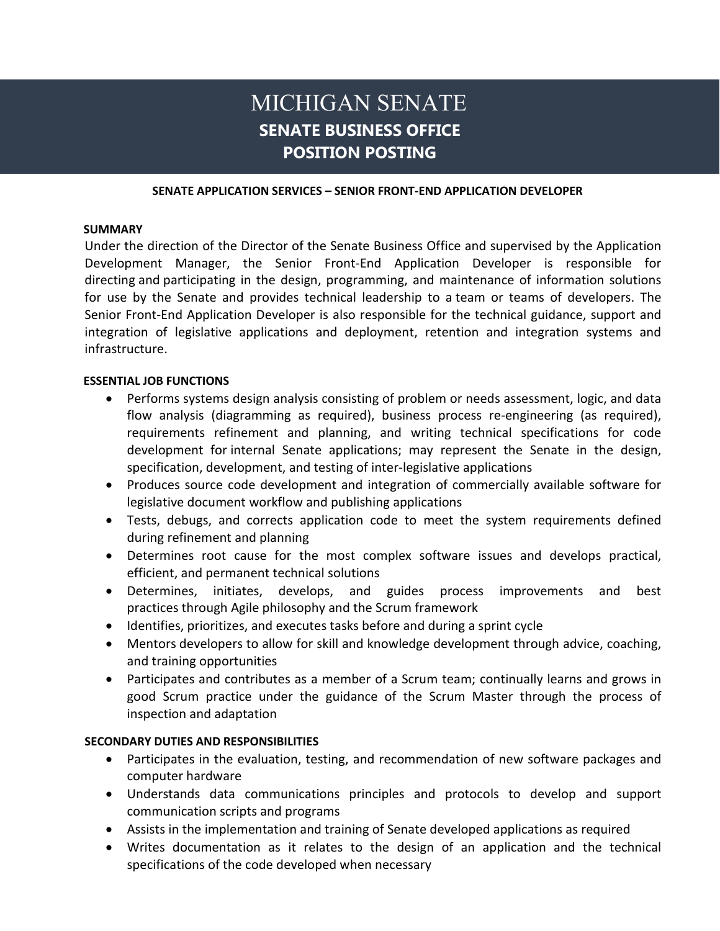# MICHIGAN SENATE **SENATE BUSINESS OFFICE POSITION POSTING**

#### **SENATE APPLICATION SERVICES – SENIOR FRONT-END APPLICATION DEVELOPER**

#### **SUMMARY**

Under the direction of the Director of the Senate Business Office and supervised by the Application Development Manager, the Senior Front-End Application Developer is responsible for directing and participating in the design, programming, and maintenance of information solutions for use by the Senate and provides technical leadership to a team or teams of developers. The Senior Front-End Application Developer is also responsible for the technical guidance, support and integration of legislative applications and deployment, retention and integration systems and infrastructure.

#### **ESSENTIAL JOB FUNCTIONS**

- Performs systems design analysis consisting of problem or needs assessment, logic, and data flow analysis (diagramming as required), business process re-engineering (as required), requirements refinement and planning, and writing technical specifications for code development for internal Senate applications; may represent the Senate in the design, specification, development, and testing of inter-legislative applications
- Produces source code development and integration of commercially available software for legislative document workflow and publishing applications
- Tests, debugs, and corrects application code to meet the system requirements defined during refinement and planning
- Determines root cause for the most complex software issues and develops practical, efficient, and permanent technical solutions
- Determines, initiates, develops, and guides process improvements and best practices through Agile philosophy and the Scrum framework
- Identifies, prioritizes, and executes tasks before and during a sprint cycle
- Mentors developers to allow for skill and knowledge development through advice, coaching, and training opportunities
- Participates and contributes as a member of a Scrum team; continually learns and grows in good Scrum practice under the guidance of the Scrum Master through the process of inspection and adaptation

#### **SECONDARY DUTIES AND RESPONSIBILITIES**

- Participates in the evaluation, testing, and recommendation of new software packages and computer hardware
- Understands data communications principles and protocols to develop and support communication scripts and programs
- Assists in the implementation and training of Senate developed applications as required
- Writes documentation as it relates to the design of an application and the technical specifications of the code developed when necessary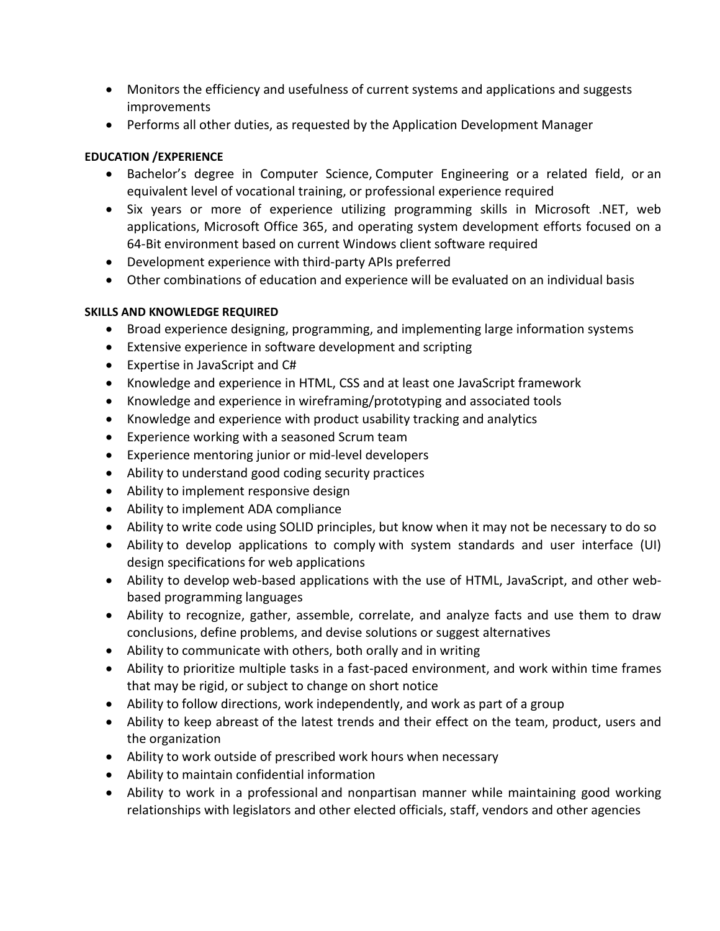- Monitors the efficiency and usefulness of current systems and applications and suggests improvements
- Performs all other duties, as requested by the Application Development Manager

## **EDUCATION /EXPERIENCE**

- Bachelor's degree in Computer Science, Computer Engineering or a related field, or an equivalent level of vocational training, or professional experience required
- Six years or more of experience utilizing programming skills in Microsoft .NET, web applications, Microsoft Office 365, and operating system development efforts focused on a 64-Bit environment based on current Windows client software required
- Development experience with third-party APIs preferred
- Other combinations of education and experience will be evaluated on an individual basis

## **SKILLS AND KNOWLEDGE REQUIRED**

- Broad experience designing, programming, and implementing large information systems
- Extensive experience in software development and scripting
- Expertise in JavaScript and C#
- Knowledge and experience in HTML, CSS and at least one JavaScript framework
- Knowledge and experience in wireframing/prototyping and associated tools
- Knowledge and experience with product usability tracking and analytics
- Experience working with a seasoned Scrum team
- Experience mentoring junior or mid-level developers
- Ability to understand good coding security practices
- Ability to implement responsive design
- Ability to implement ADA compliance
- Ability to write code using SOLID principles, but know when it may not be necessary to do so
- Ability to develop applications to comply with system standards and user interface (UI) design specifications for web applications
- Ability to develop web-based applications with the use of HTML, JavaScript, and other webbased programming languages
- Ability to recognize, gather, assemble, correlate, and analyze facts and use them to draw conclusions, define problems, and devise solutions or suggest alternatives
- Ability to communicate with others, both orally and in writing
- Ability to prioritize multiple tasks in a fast-paced environment, and work within time frames that may be rigid, or subject to change on short notice
- Ability to follow directions, work independently, and work as part of a group
- Ability to keep abreast of the latest trends and their effect on the team, product, users and the organization
- Ability to work outside of prescribed work hours when necessary
- Ability to maintain confidential information
- Ability to work in a professional and nonpartisan manner while maintaining good working relationships with legislators and other elected officials, staff, vendors and other agencies